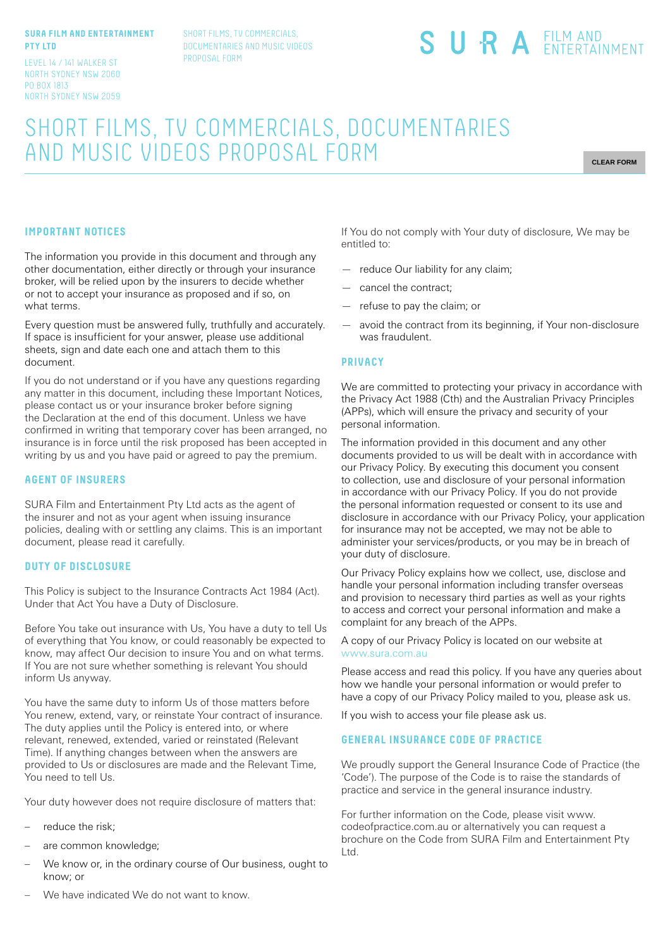#### **SURA FILM AND ENTERTAINMENT PTY LTD**

LEVEL 14 / 141 WALKER ST NORTH SYDNEY NSW 2060 PO BOX 1813 NORTH SYDNEY NSW 2059 SHORT FILMS, TV COMMERCIALS, DOCUMENTARIES AND MUSIC VIDEOS PROPOSAL FORM

# SURA EILM AND

## SHORT FILMS, TV COMMERCIALS, DOCUMENTARIES AND MUSIC VIDEOS PROPOSAL FORM

**CLEAR FORM**

#### **IMPORTANT NOTICES**

The information you provide in this document and through any other documentation, either directly or through your insurance broker, will be relied upon by the insurers to decide whether or not to accept your insurance as proposed and if so, on what terms.

Every question must be answered fully, truthfully and accurately. If space is insufficient for your answer, please use additional sheets, sign and date each one and attach them to this document.

If you do not understand or if you have any questions regarding any matter in this document, including these Important Notices, please contact us or your insurance broker before signing the Declaration at the end of this document. Unless we have confirmed in writing that temporary cover has been arranged, no insurance is in force until the risk proposed has been accepted in writing by us and you have paid or agreed to pay the premium.

#### **AGENT OF INSURERS**

SURA Film and Entertainment Pty Ltd acts as the agent of the insurer and not as your agent when issuing insurance policies, dealing with or settling any claims. This is an important document, please read it carefully.

#### **DUTY OF DISCLOSURE**

This Policy is subject to the Insurance Contracts Act 1984 (Act). Under that Act You have a Duty of Disclosure.

Before You take out insurance with Us, You have a duty to tell Us of everything that You know, or could reasonably be expected to know, may affect Our decision to insure You and on what terms. If You are not sure whether something is relevant You should inform Us anyway.

You have the same duty to inform Us of those matters before You renew, extend, vary, or reinstate Your contract of insurance. The duty applies until the Policy is entered into, or where relevant, renewed, extended, varied or reinstated (Relevant Time). If anything changes between when the answers are provided to Us or disclosures are made and the Relevant Time, You need to tell Us.

Your duty however does not require disclosure of matters that:

- reduce the risk;
- are common knowledge;
- We know or, in the ordinary course of Our business, ought to know; or

If You do not comply with Your duty of disclosure, We may be entitled to:

- reduce Our liability for any claim;
- cancel the contract;
- refuse to pay the claim; or
- avoid the contract from its beginning, if Your non-disclosure was fraudulent.

#### **PRIVACY**

We are committed to protecting your privacy in accordance with the Privacy Act 1988 (Cth) and the Australian Privacy Principles (APPs), which will ensure the privacy and security of your personal information.

The information provided in this document and any other documents provided to us will be dealt with in accordance with our Privacy Policy. By executing this document you consent to collection, use and disclosure of your personal information in accordance with our Privacy Policy. If you do not provide the personal information requested or consent to its use and disclosure in accordance with our Privacy Policy, your application for insurance may not be accepted, we may not be able to administer your services/products, or you may be in breach of your duty of disclosure.

Our Privacy Policy explains how we collect, use, disclose and handle your personal information including transfer overseas and provision to necessary third parties as well as your rights to access and correct your personal information and make a complaint for any breach of the APPs.

A copy of our Privacy Policy is located on our website at www.sura.com.au

Please access and read this policy. If you have any queries about how we handle your personal information or would prefer to have a copy of our Privacy Policy mailed to you, please ask us.

If you wish to access your file please ask us.

#### **GENERAL INSURANCE CODE OF PRACTICE**

We proudly support the General Insurance Code of Practice (the 'Code'). The purpose of the Code is to raise the standards of practice and service in the general insurance industry.

For further information on the Code, please visit www. codeofpractice.com.au or alternatively you can request a brochure on the Code from SURA Film and Entertainment Pty Ltd.

We have indicated We do not want to know.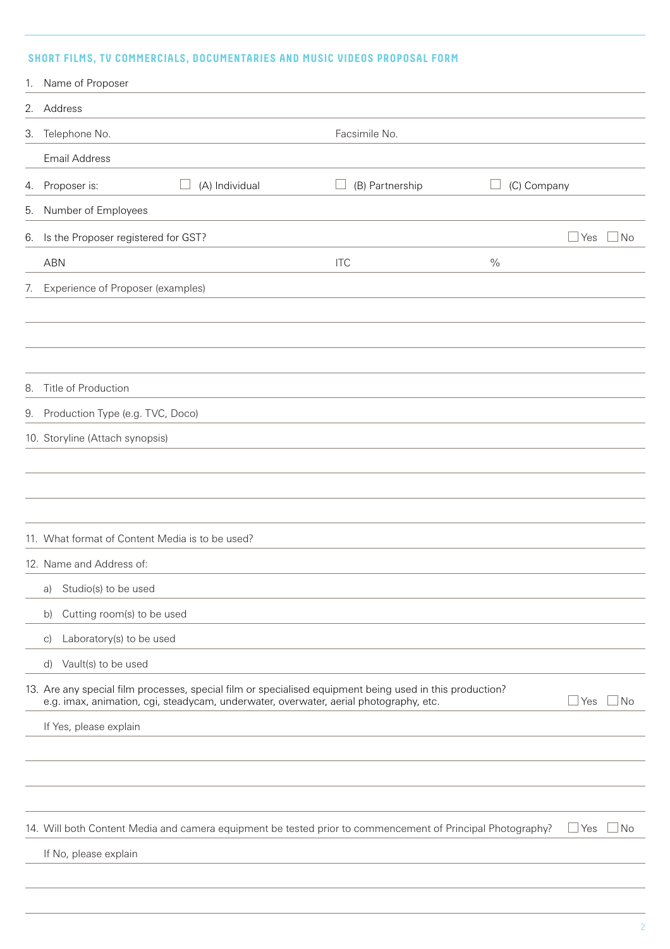### **SHORT FILMS, TV COMMERCIALS, DOCUMENTARIES AND MUSIC VIDEOS PROPOSAL FORM**

|    | 1. Name of Proposer                             |                |                                                                                                                                                                                                   |               |              |           |
|----|-------------------------------------------------|----------------|---------------------------------------------------------------------------------------------------------------------------------------------------------------------------------------------------|---------------|--------------|-----------|
|    | 2. Address                                      |                |                                                                                                                                                                                                   |               |              |           |
|    | 3. Telephone No.                                |                | Facsimile No.                                                                                                                                                                                     |               |              |           |
|    | <b>Email Address</b>                            |                |                                                                                                                                                                                                   |               |              |           |
|    | 4. Proposer is:                                 | (A) Individual | (B) Partnership                                                                                                                                                                                   | (C) Company   |              |           |
| 5. | Number of Employees                             |                |                                                                                                                                                                                                   |               |              |           |
|    | 6. Is the Proposer registered for GST?          |                |                                                                                                                                                                                                   |               | Yes          | No        |
|    | <b>ABN</b>                                      |                | <b>ITC</b>                                                                                                                                                                                        | $\frac{0}{0}$ |              |           |
|    | 7. Experience of Proposer (examples)            |                |                                                                                                                                                                                                   |               |              |           |
|    |                                                 |                |                                                                                                                                                                                                   |               |              |           |
|    |                                                 |                |                                                                                                                                                                                                   |               |              |           |
|    |                                                 |                |                                                                                                                                                                                                   |               |              |           |
| 8. | Title of Production                             |                |                                                                                                                                                                                                   |               |              |           |
|    | 9. Production Type (e.g. TVC, Doco)             |                |                                                                                                                                                                                                   |               |              |           |
|    | 10. Storyline (Attach synopsis)                 |                |                                                                                                                                                                                                   |               |              |           |
|    |                                                 |                |                                                                                                                                                                                                   |               |              |           |
|    |                                                 |                |                                                                                                                                                                                                   |               |              |           |
|    |                                                 |                |                                                                                                                                                                                                   |               |              |           |
|    | 11. What format of Content Media is to be used? |                |                                                                                                                                                                                                   |               |              |           |
|    | 12. Name and Address of:                        |                |                                                                                                                                                                                                   |               |              |           |
|    | Studio(s) to be used<br>a)                      |                |                                                                                                                                                                                                   |               |              |           |
|    | Cutting room(s) to be used<br>b)                |                |                                                                                                                                                                                                   |               |              |           |
|    | Laboratory(s) to be used<br>$\vert$ C)          |                |                                                                                                                                                                                                   |               |              |           |
|    | Vault(s) to be used<br>d)                       |                |                                                                                                                                                                                                   |               |              |           |
|    |                                                 |                | 13. Are any special film processes, special film or specialised equipment being used in this production?<br>e.g. imax, animation, cgi, steadycam, underwater, overwater, aerial photography, etc. |               | Yes          | No        |
|    | If Yes, please explain                          |                |                                                                                                                                                                                                   |               |              |           |
|    |                                                 |                |                                                                                                                                                                                                   |               |              |           |
|    |                                                 |                |                                                                                                                                                                                                   |               |              |           |
|    |                                                 |                |                                                                                                                                                                                                   |               |              |           |
|    |                                                 |                | 14. Will both Content Media and camera equipment be tested prior to commencement of Principal Photography?                                                                                        |               | $\sqcup$ Yes | $\Box$ No |
|    | If No, please explain                           |                |                                                                                                                                                                                                   |               |              |           |
|    |                                                 |                |                                                                                                                                                                                                   |               |              |           |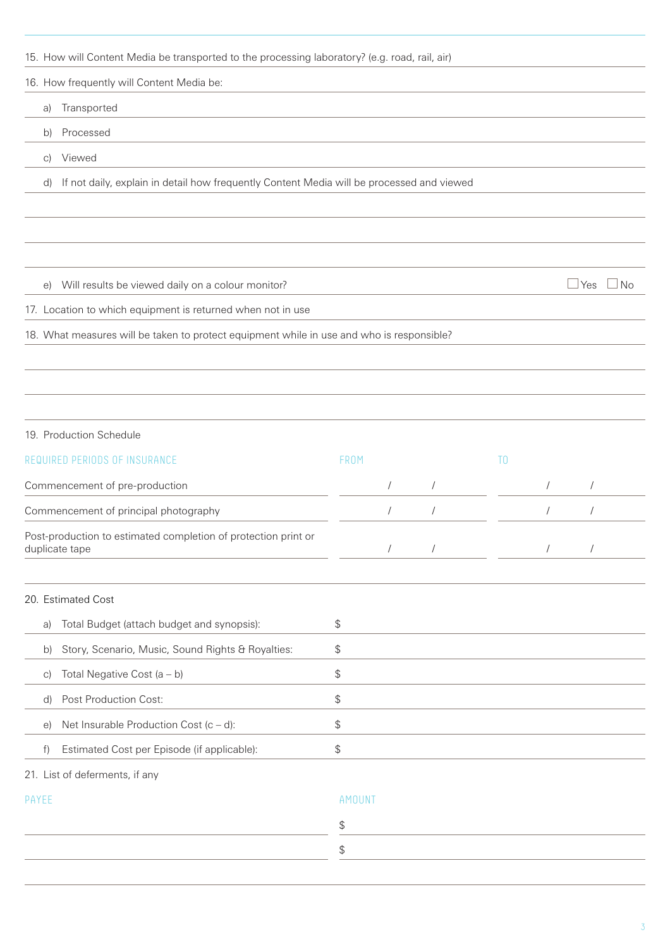15. How will Content Media be transported to the processing laboratory? (e.g. road, rail, air) 16. How frequently will Content Media be: a) Transported b) Processed c) Viewed d) If not daily, explain in detail how frequently Content Media will be processed and viewed e) Will results be viewed daily on a colour monitor?  $\Box$  Yes  $\Box$  Yes  $\Box$  No 17. Location to which equipment is returned when not in use 18. What measures will be taken to protect equipment while in use and who is responsible? 19. Production Schedule REQUIRED PERIODS OF INSURANCE THE RELATION OF THE RED. TO THE RED. TO THE RED. TO THE RED. TO THE RED. TO THE RED. TO Commencement of pre-production and the set of the set of the set of the set of the set of the set of the set of the set of the set of the set of the set of the set of the set of the set of the set of the set of the set of Commencement of principal photography  $\overline{a}$  /  $\overline{a}$  /  $\overline{a}$  /  $\overline{a}$  /  $\overline{a}$  /  $\overline{a}$  /  $\overline{a}$  /  $\overline{a}$  /  $\overline{a}$  /  $\overline{a}$  /  $\overline{a}$  /  $\overline{a}$  /  $\overline{a}$  /  $\overline{a}$  /  $\overline{a}$  /  $\overline{a}$  /  $\overline{a}$ Post-production to estimated completion of protection print or duplicate tape / / / / 20. Estimated Cost a) Total Budget (attach budget and synopsis): \$ b) Story, Scenario, Music, Sound Rights & Royalties: \$ c) Total Negative Cost  $(a - b)$  \$ d) Post Production Cost: e) Net Insurable Production Cost  $(c - d)$ :  $\$ f) Estimated Cost per Episode (if applicable): \$ 21. List of deferments, if any

PAYEE AMOUNT

\$ \$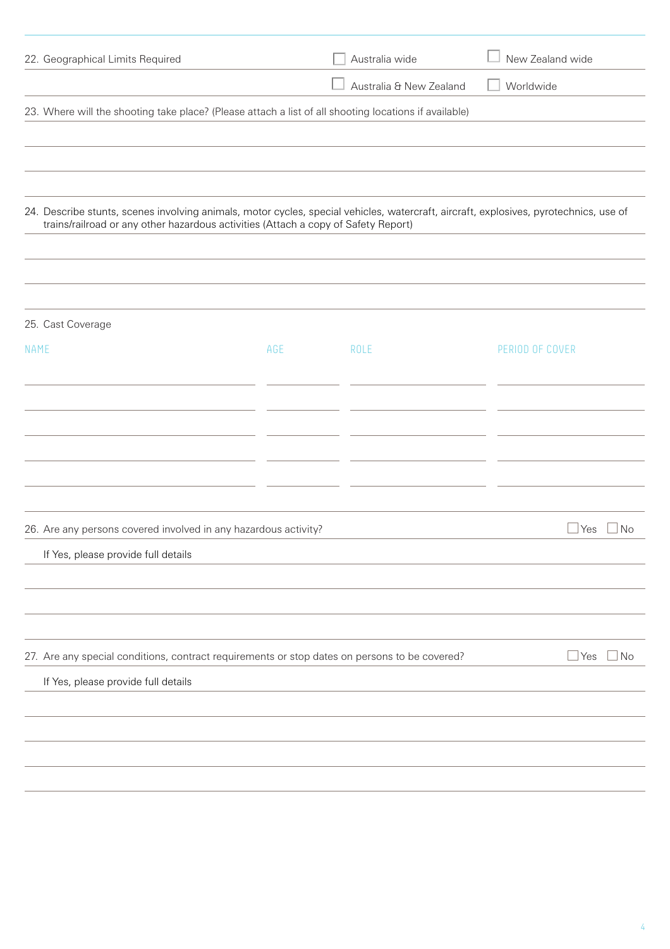| 22. Geographical Limits Required                                                                                                                                                                                            |     | Australia wide          | New Zealand wide  |
|-----------------------------------------------------------------------------------------------------------------------------------------------------------------------------------------------------------------------------|-----|-------------------------|-------------------|
|                                                                                                                                                                                                                             |     | Australia & New Zealand | Worldwide         |
| 23. Where will the shooting take place? (Please attach a list of all shooting locations if available)                                                                                                                       |     |                         |                   |
|                                                                                                                                                                                                                             |     |                         |                   |
|                                                                                                                                                                                                                             |     |                         |                   |
|                                                                                                                                                                                                                             |     |                         |                   |
| 24. Describe stunts, scenes involving animals, motor cycles, special vehicles, watercraft, aircraft, explosives, pyrotechnics, use of<br>trains/railroad or any other hazardous activities (Attach a copy of Safety Report) |     |                         |                   |
|                                                                                                                                                                                                                             |     |                         |                   |
|                                                                                                                                                                                                                             |     |                         |                   |
| 25. Cast Coverage                                                                                                                                                                                                           |     |                         |                   |
| <b>NAME</b>                                                                                                                                                                                                                 | AGE | <b>ROLE</b>             | PERIOD OF COVER   |
|                                                                                                                                                                                                                             |     |                         |                   |
|                                                                                                                                                                                                                             |     |                         |                   |
|                                                                                                                                                                                                                             |     |                         |                   |
|                                                                                                                                                                                                                             |     |                         |                   |
|                                                                                                                                                                                                                             |     |                         |                   |
|                                                                                                                                                                                                                             |     |                         |                   |
| 26. Are any persons covered involved in any hazardous activity?                                                                                                                                                             |     |                         | Yes<br>l No       |
| If Yes, please provide full details                                                                                                                                                                                         |     |                         |                   |
|                                                                                                                                                                                                                             |     |                         |                   |
|                                                                                                                                                                                                                             |     |                         |                   |
|                                                                                                                                                                                                                             |     |                         |                   |
| 27. Are any special conditions, contract requirements or stop dates on persons to be covered?                                                                                                                               |     |                         | ⊥Yes<br>$\Box$ No |
| If Yes, please provide full details                                                                                                                                                                                         |     |                         |                   |
|                                                                                                                                                                                                                             |     |                         |                   |
|                                                                                                                                                                                                                             |     |                         |                   |
|                                                                                                                                                                                                                             |     |                         |                   |
|                                                                                                                                                                                                                             |     |                         |                   |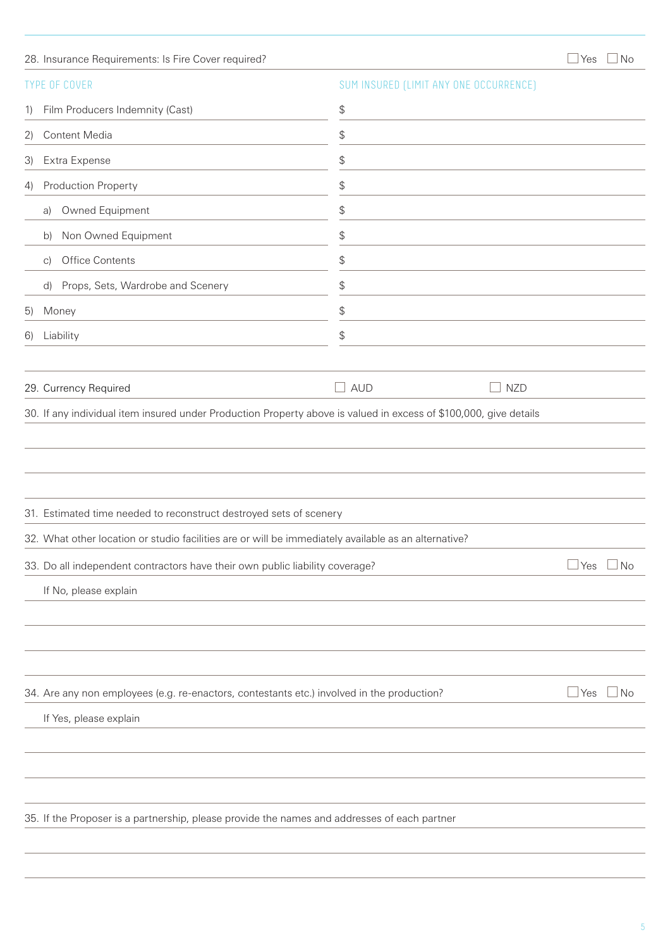|    | 28. Insurance Requirements: Is Fire Cover required?                                                  |                                                      | Yes<br>No                 |
|----|------------------------------------------------------------------------------------------------------|------------------------------------------------------|---------------------------|
|    | <b>TYPE OF COVER</b>                                                                                 | SUM INSURED (LIMIT ANY ONE OCCURRENCE)               |                           |
| 1) | Film Producers Indemnity (Cast)                                                                      | \$                                                   |                           |
| 2) | Content Media                                                                                        | \$                                                   |                           |
| 3) | Extra Expense                                                                                        | \$                                                   |                           |
| 4) | Production Property                                                                                  | \$                                                   |                           |
|    | Owned Equipment<br>a)                                                                                | \$                                                   |                           |
|    | Non Owned Equipment<br>b)                                                                            | \$                                                   |                           |
|    | Office Contents<br>$\mathcal{C}$                                                                     | \$                                                   |                           |
|    | Props, Sets, Wardrobe and Scenery<br>d)                                                              | \$                                                   |                           |
| 5) | Money                                                                                                | \$                                                   |                           |
| 6) | Liability                                                                                            | \$                                                   |                           |
|    |                                                                                                      |                                                      |                           |
|    | 29. Currency Required                                                                                | $\Box$ aud<br><b>NZD</b><br>$\overline{\phantom{a}}$ |                           |
|    |                                                                                                      |                                                      |                           |
|    | 31. Estimated time needed to reconstruct destroyed sets of scenery                                   |                                                      |                           |
|    | 32. What other location or studio facilities are or will be immediately available as an alternative? |                                                      |                           |
|    | 33. Do all independent contractors have their own public liability coverage?                         |                                                      | Yes<br>$\Box$ No          |
|    | If No, please explain                                                                                |                                                      |                           |
|    |                                                                                                      |                                                      |                           |
|    |                                                                                                      |                                                      |                           |
|    |                                                                                                      |                                                      |                           |
|    | 34. Are any non employees (e.g. re-enactors, contestants etc.) involved in the production?           |                                                      | $\Box$ No<br>$\sqcup$ Yes |
|    | If Yes, please explain                                                                               |                                                      |                           |
|    |                                                                                                      |                                                      |                           |
|    |                                                                                                      |                                                      |                           |
|    |                                                                                                      |                                                      |                           |
|    |                                                                                                      |                                                      |                           |
|    | 35. If the Proposer is a partnership, please provide the names and addresses of each partner         |                                                      |                           |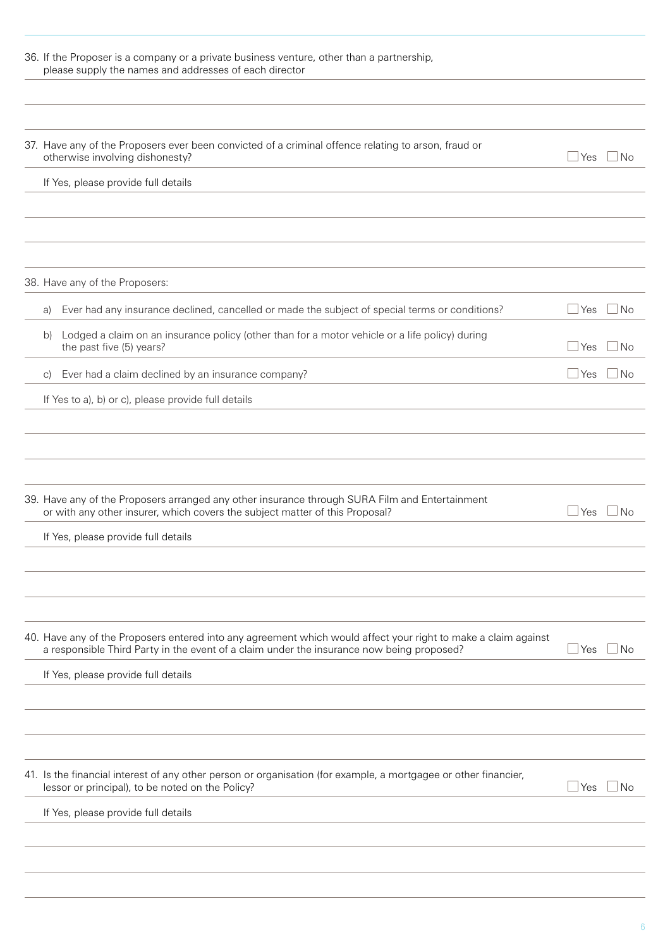| 36. If the Proposer is a company or a private business venture, other than a partnership,<br>please supply the names and addresses of each director                                                         |       |           |
|-------------------------------------------------------------------------------------------------------------------------------------------------------------------------------------------------------------|-------|-----------|
|                                                                                                                                                                                                             |       |           |
| 37. Have any of the Proposers ever been convicted of a criminal offence relating to arson, fraud or<br>otherwise involving dishonesty?                                                                      | ⊿ Yes | ⊿ No      |
| If Yes, please provide full details                                                                                                                                                                         |       |           |
|                                                                                                                                                                                                             |       |           |
|                                                                                                                                                                                                             |       |           |
|                                                                                                                                                                                                             |       |           |
| 38. Have any of the Proposers:                                                                                                                                                                              |       |           |
| Ever had any insurance declined, cancelled or made the subject of special terms or conditions?<br>a)                                                                                                        | l Yes | ⊥No       |
| Lodged a claim on an insurance policy (other than for a motor vehicle or a life policy) during<br>b)<br>the past five (5) years?                                                                            | l Yes | <b>No</b> |
| Ever had a claim declined by an insurance company?<br>C)                                                                                                                                                    | l Yes | No.       |
| If Yes to a), b) or c), please provide full details                                                                                                                                                         |       |           |
|                                                                                                                                                                                                             |       |           |
|                                                                                                                                                                                                             |       |           |
|                                                                                                                                                                                                             |       |           |
| 39. Have any of the Proposers arranged any other insurance through SURA Film and Entertainment<br>or with any other insurer, which covers the subject matter of this Proposal?                              | l Yes | l No      |
| If Yes, please provide full details                                                                                                                                                                         |       |           |
|                                                                                                                                                                                                             |       |           |
|                                                                                                                                                                                                             |       |           |
|                                                                                                                                                                                                             |       |           |
| 40. Have any of the Proposers entered into any agreement which would affect your right to make a claim against<br>a responsible Third Party in the event of a claim under the insurance now being proposed? | ⊿Yes  | ⊥No       |
| If Yes, please provide full details                                                                                                                                                                         |       |           |
|                                                                                                                                                                                                             |       |           |
|                                                                                                                                                                                                             |       |           |
|                                                                                                                                                                                                             |       |           |
| 41. Is the financial interest of any other person or organisation (for example, a mortgagee or other financier,<br>lessor or principal), to be noted on the Policy?                                         | Yes   | No.       |
| If Yes, please provide full details                                                                                                                                                                         |       |           |
|                                                                                                                                                                                                             |       |           |
|                                                                                                                                                                                                             |       |           |

6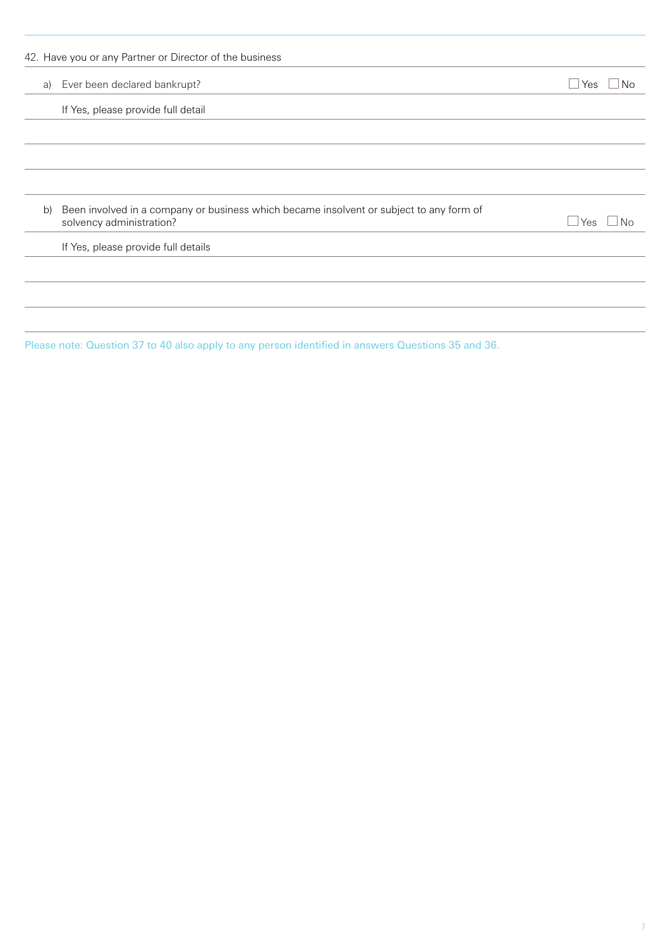|    | 42. Have you or any Partner or Director of the business                                                             |                         |
|----|---------------------------------------------------------------------------------------------------------------------|-------------------------|
| a) | Ever been declared bankrupt?                                                                                        | $\Box$ Yes<br><b>No</b> |
|    | If Yes, please provide full detail                                                                                  |                         |
|    |                                                                                                                     |                         |
|    |                                                                                                                     |                         |
|    |                                                                                                                     |                         |
| b) | Been involved in a company or business which became insolvent or subject to any form of<br>solvency administration? | $N_{\Omega}$<br>l Yes   |
|    | If Yes, please provide full details                                                                                 |                         |
|    |                                                                                                                     |                         |
|    |                                                                                                                     |                         |
|    |                                                                                                                     |                         |

Please note: Question 37 to 40 also apply to any person identified in answers Questions 35 and 36.